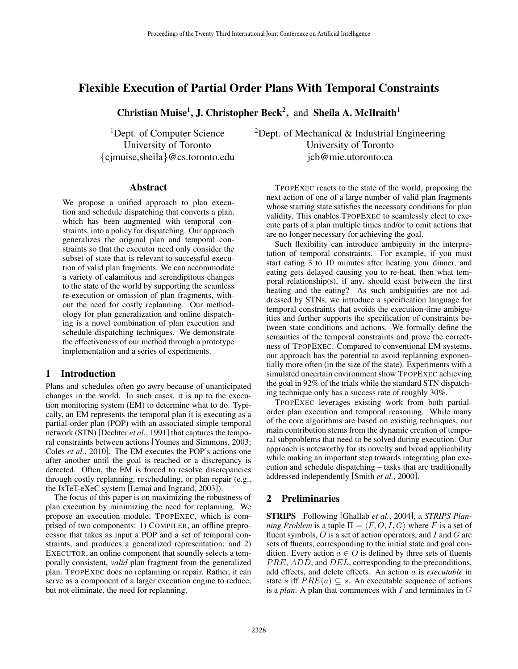# Flexible Execution of Partial Order Plans With Temporal Constraints

Christian Muise<sup>1</sup>, J. Christopher Beck<sup>2</sup>, and Sheila A. McIlraith<sup>1</sup>

<sup>1</sup>Dept. of Computer Science University of Toronto {cjmuise,sheila}@cs.toronto.edu

<sup>2</sup>Dept. of Mechanical  $\&$  Industrial Engineering University of Toronto jcb@mie.utoronto.ca

#### Abstract

We propose a unified approach to plan execution and schedule dispatching that converts a plan, which has been augmented with temporal constraints, into a policy for dispatching. Our approach generalizes the original plan and temporal constraints so that the executor need only consider the subset of state that is relevant to successful execution of valid plan fragments. We can accommodate a variety of calamitous and serendipitous changes to the state of the world by supporting the seamless re-execution or omission of plan fragments, without the need for costly replanning. Our methodology for plan generalization and online dispatching is a novel combination of plan execution and schedule dispatching techniques. We demonstrate the effectiveness of our method through a prototype implementation and a series of experiments.

### 1 Introduction

Plans and schedules often go awry because of unanticipated changes in the world. In such cases, it is up to the execution monitoring system (EM) to determine what to do. Typically, an EM represents the temporal plan it is executing as a partial-order plan (POP) with an associated simple temporal network (STN) [Dechter *et al.*, 1991] that captures the temporal constraints between actions [Younes and Simmons, 2003; Coles *et al.*, 2010]. The EM executes the POP's actions one after another until the goal is reached or a discrepancy is detected. Often, the EM is forced to resolve discrepancies through costly replanning, rescheduling, or plan repair (e.g., the IxTeT-eXeC system [Lemai and Ingrand, 2003]).

The focus of this paper is on maximizing the robustness of plan execution by minimizing the need for replanning. We propose an execution module, TPOPEXEC, which is comprised of two components: 1) COMPILER, an offline preprocessor that takes as input a POP and a set of temporal constraints, and produces a generalized representation; and 2) EXECUTOR, an online component that soundly selects a temporally consistent, *valid* plan fragment from the generalized plan. TPOPEXEC does no replanning or repair. Rather, it can serve as a component of a larger execution engine to reduce, but not eliminate, the need for replanning.

TPOPEXEC reacts to the state of the world, proposing the next action of one of a large number of valid plan fragments whose starting state satisfies the necessary conditions for plan validity. This enables TPOPEXEC to seamlessly elect to execute parts of a plan multiple times and/or to omit actions that are no longer necessary for achieving the goal.

Such flexibility can introduce ambiguity in the interpretation of temporal constraints. For example, if you must start eating 3 to 10 minutes after heating your dinner, and eating gets delayed causing you to re-heat, then what temporal relationship(s), if any, should exist between the first heating and the eating? As such ambiguities are not addressed by STNs, we introduce a specification language for temporal constraints that avoids the execution-time ambiguities and further supports the specification of constraints between state conditions and actions. We formally define the semantics of the temporal constraints and prove the correctness of TPOPEXEC. Compared to conventional EM systems, our approach has the potential to avoid replanning exponentially more often (in the size of the state). Experiments with a simulated uncertain environment show TPOPEXEC achieving the goal in 92% of the trials while the standard STN dispatching technique only has a success rate of roughly 30%.

TPOPEXEC leverages existing work from both partialorder plan execution and temporal reasoning. While many of the core algorithms are based on existing techniques, our main contribution stems from the dynamic creation of temporal subproblems that need to be solved during execution. Our approach is noteworthy for its novelty and broad applicability while making an important step towards integrating plan execution and schedule dispatching – tasks that are traditionally addressed independently [Smith *et al.*, 2000].

# 2 Preliminaries

STRIPS Following [Ghallab *et al.*, 2004], a *STRIPS Planning Problem* is a tuple  $\Pi = \langle F, O, I, G \rangle$  where F is a set of fluent symbols,  $O$  is a set of action operators, and  $I$  and  $G$  are sets of fluents, corresponding to the initial state and goal condition. Every action  $a \in O$  is defined by three sets of fluents PRE, ADD, and DEL, corresponding to the preconditions, add effects, and delete effects. An action a is *executable* in state s iff  $PRE(a) \subseteq s$ . An executable sequence of actions is a *plan*. A plan that commences with  $I$  and terminates in  $G$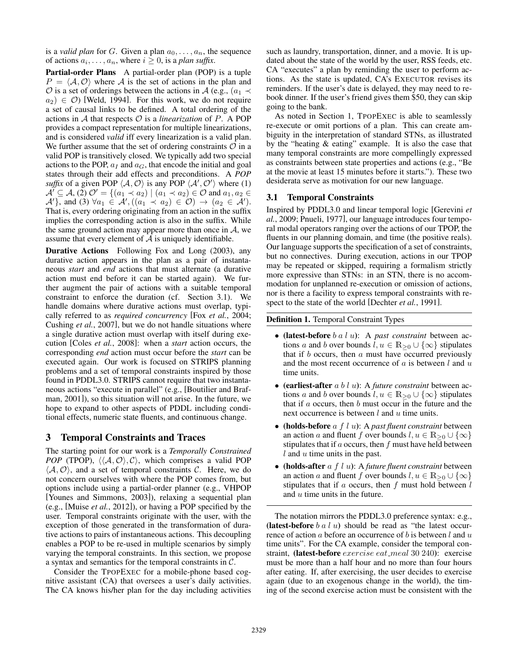is a *valid plan* for G. Given a plan  $a_0, \ldots, a_n$ , the sequence of actions  $a_i, \ldots, a_n$ , where  $i \geq 0$ , is a *plan suffix*.

Partial-order Plans A partial-order plan (POP) is a tuple  $P = \langle A, O \rangle$  where A is the set of actions in the plan and  $\hat{O}$  is a set of orderings between the actions in A (e.g.,  $(a_1 \prec$  $a_2$ )  $\in \mathcal{O}$ ) [Weld, 1994]. For this work, we do not require a set of causal links to be defined. A total ordering of the actions in  $A$  that respects  $O$  is a *linearization* of  $P$ . A POP provides a compact representation for multiple linearizations, and is considered *valid* iff every linearization is a valid plan. We further assume that the set of ordering constraints  $\mathcal O$  in a valid POP is transitively closed. We typically add two special actions to the POP,  $a_I$  and  $a_G$ , that encode the initial and goal states through their add effects and preconditions. A *POP suffix* of a given POP  $\langle A, O \rangle$  is any POP  $\langle A', O' \rangle$  where (1)  $\mathcal{A}' \subseteq \mathcal{A}$ , (2)  $\mathcal{O}' = \{(a_1 \prec a_2) \mid (a_1 \prec a_2) \in \mathcal{O} \text{ and } a_1, a_2 \in \mathcal{O}\}$  $\mathcal{A}'$ }, and (3)  $\forall a_1 \in \mathcal{A}', ((a_1 \prec a_2) \in \mathcal{O}) \rightarrow (a_2 \in \mathcal{A}')$ . That is, every ordering originating from an action in the suffix implies the corresponding action is also in the suffix. While the same ground action may appear more than once in  $\mathcal{A}$ , we assume that every element of  $A$  is uniquely identifiable.

Durative Actions Following Fox and Long (2003), any durative action appears in the plan as a pair of instantaneous *start* and *end* actions that must alternate (a durative action must end before it can be started again). We further augment the pair of actions with a suitable temporal constraint to enforce the duration (cf. Section 3.1). We handle domains where durative actions must overlap, typically referred to as *required concurrency* [Fox *et al.*, 2004; Cushing *et al.*, 2007], but we do not handle situations where a single durative action must overlap with itself during execution [Coles *et al.*, 2008]: when a *start* action occurs, the corresponding *end* action must occur before the *start* can be executed again. Our work is focused on STRIPS planning problems and a set of temporal constraints inspired by those found in PDDL3.0. STRIPS cannot require that two instantaneous actions "execute in parallel" (e.g., [Boutilier and Brafman, 2001]), so this situation will not arise. In the future, we hope to expand to other aspects of PDDL including conditional effects, numeric state fluents, and continuous change.

#### 3 Temporal Constraints and Traces

The starting point for our work is a *Temporally Constrained POP* (TPOP),  $\langle \langle A, O \rangle, C \rangle$ , which comprises a valid POP  $\langle A, O \rangle$ , and a set of temporal constraints C. Here, we do not concern ourselves with where the POP comes from, but options include using a partial-order planner (e.g., VHPOP [Younes and Simmons, 2003]), relaxing a sequential plan (e.g., [Muise *et al.*, 2012]), or having a POP specified by the user. Temporal constraints originate with the user, with the exception of those generated in the transformation of durative actions to pairs of instantaneous actions. This decoupling enables a POP to be re-used in multiple scenarios by simply varying the temporal constraints. In this section, we propose a syntax and semantics for the temporal constraints in C.

Consider the TPOPEXEC for a mobile-phone based cognitive assistant (CA) that oversees a user's daily activities. The CA knows his/her plan for the day including activities such as laundry, transportation, dinner, and a movie. It is updated about the state of the world by the user, RSS feeds, etc. CA "executes" a plan by reminding the user to perform actions. As the state is updated, CA's EXECUTOR revises its reminders. If the user's date is delayed, they may need to rebook dinner. If the user's friend gives them \$50, they can skip going to the bank.

As noted in Section 1, TPOPEXEC is able to seamlessly re-execute or omit portions of a plan. This can create ambiguity in the interpretation of standard STNs, as illustrated by the "heating & eating" example. It is also the case that many temporal constraints are more compellingly expressed as constraints between state properties and actions (e.g., "Be at the movie at least 15 minutes before it starts."). These two desiderata serve as motivation for our new language.

#### 3.1 Temporal Constraints

Inspired by PDDL3.0 and linear temporal logic [Gerevini *et al.*, 2009; Pnueli, 1977], our language introduces four temporal modal operators ranging over the actions of our TPOP, the fluents in our planning domain, and time (the positive reals). Our language supports the specification of a set of constraints, but no connectives. During execution, actions in our TPOP may be repeated or skipped, requiring a formalism strictly more expressive than STNs: in an STN, there is no accommodation for unplanned re-execution or omission of actions, nor is there a facility to express temporal constraints with respect to the state of the world [Dechter *et al.*, 1991].

Definition 1. Temporal Constraint Types

- (latest-before b a l u): A *past constraint* between actions a and b over bounds  $l, u \in \mathbb{R}_{\geq 0} \cup \{\infty\}$  stipulates that if  $b$  occurs, then  $a$  must have occurred previously and the most recent occurrence of  $a$  is between  $l$  and  $u$ time units.
- (earliest-after a b l u): A *future constraint* between actions a and b over bounds  $l, u \in \mathbb{R}_{\geq 0} \cup \{\infty\}$  stipulates that if  $a$  occurs, then  $b$  must occur in the future and the next occurrence is between  $l$  and  $u$  time units.
- (holds-before a f l u): A *past fluent constraint* between an action a and fluent f over bounds  $l, u \in \mathbb{R}_{\geq 0} \cup \{\infty\}$ stipulates that if  $a$  occurs, then  $f$  must have held between  $l$  and  $u$  time units in the past.
- (holds-after a f l u): A *future fluent constraint* between an action a and fluent f over bounds  $l, u \in \mathbb{R}_{\geq 0} \cup \{\infty\}$ stipulates that if  $a$  occurs, then  $f$  must hold between  $l$ and  $u$  time units in the future.

The notation mirrors the PDDL3.0 preference syntax: e.g., (latest-before  $b \, a \, l \, u$ ) should be read as "the latest occurrence of action  $a$  before an occurrence of  $b$  is between  $l$  and  $u$ time units". For the CA example, consider the temporal constraint, (latest-before exercise eat meal 30 240): exercise must be more than a half hour and no more than four hours after eating. If, after exercising, the user decides to exercise again (due to an exogenous change in the world), the timing of the second exercise action must be consistent with the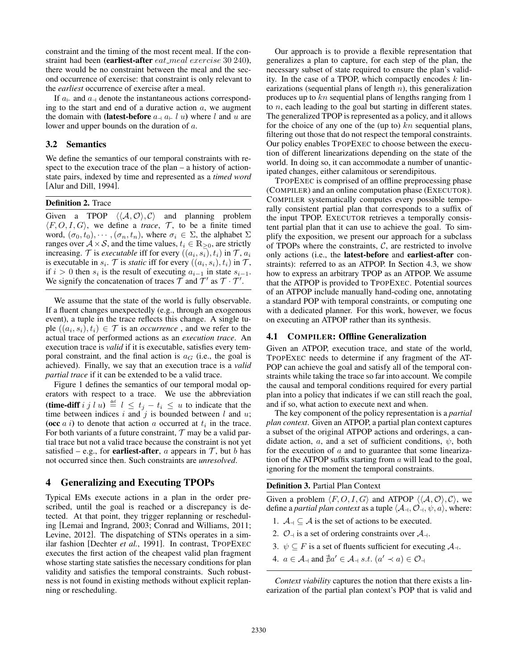constraint and the timing of the most recent meal. If the constraint had been (earliest-after *eat\_meal exercise* 30 240), there would be no constraint between the meal and the second occurrence of exercise: that constraint is only relevant to the *earliest* occurrence of exercise after a meal.

If  $a_{\vdash}$  and  $a_{\dashv}$  denote the instantaneous actions corresponding to the start and end of a durative action  $a$ , we augment the domain with (latest-before  $a_{-1}$ ,  $a_{-1}$  u) where l and u are lower and upper bounds on the duration of a.

### 3.2 Semantics

We define the semantics of our temporal constraints with respect to the execution trace of the plan – a history of actionstate pairs, indexed by time and represented as a *timed word* [Alur and Dill, 1994].

#### Definition 2. Trace

Given a TPOP  $\langle \langle A, \mathcal{O} \rangle, \mathcal{C} \rangle$  and planning problem  $\langle F, O, I, G \rangle$ , we define a *trace*,  $\mathcal{T}$ , to be a finite timed word,  $(\sigma_0, t_0), \cdots, (\sigma_n, t_n)$ , where  $\sigma_i \in \Sigma$ , the alphabet  $\Sigma$ ranges over  $A \times S$ , and the time values,  $t_i \in \mathbb{R}_{\geq 0}$ , are strictly increasing. T is *executable* iff for every  $((a_i, s_i), t_i)$  in T,  $a_i$ is executable in  $s_i$ .  $\mathcal T$  is *static* iff for every  $((a_i, s_i), t_i)$  in  $\mathcal T$ , if  $i > 0$  then  $s_i$  is the result of executing  $a_{i-1}$  in state  $s_{i-1}$ . We signify the concatenation of traces  $\bar{\mathcal{T}}$  and  $\bar{\mathcal{T}}'$  as  $\bar{\mathcal{T}} \cdot \bar{\mathcal{T}}'$ .

We assume that the state of the world is fully observable. If a fluent changes unexpectedly (e.g., through an exogenous event), a tuple in the trace reflects this change. A single tuple  $((a_i, s_i), t_i) \in \mathcal{T}$  is an *occurrence*, and we refer to the actual trace of performed actions as an *execution trace*. An execution trace is *valid* if it is executable, satisfies every temporal constraint, and the final action is  $a_G$  (i.e., the goal is achieved). Finally, we say that an execution trace is a *valid partial trace* if it can be extended to be a valid trace.

Figure 1 defines the semantics of our temporal modal operators with respect to a trace. We use the abbreviation (time-diff i j l u)  $\stackrel{\text{def}}{=} l \le t_j - t_i \le u$  to indicate that the time between indices i and j is bounded between l and  $u$ ; (occ  $a$  i) to denote that action  $a$  occurred at  $t_i$  in the trace. For both variants of a future constraint,  $T$  may be a valid partial trace but not a valid trace because the constraint is not yet satisfied – e.g., for **earliest-after**, a appears in  $\mathcal{T}$ , but b has not occurred since then. Such constraints are *unresolved*.

# 4 Generalizing and Executing TPOPs

Typical EMs execute actions in a plan in the order prescribed, until the goal is reached or a discrepancy is detected. At that point, they trigger replanning or rescheduling [Lemai and Ingrand, 2003; Conrad and Williams, 2011; Levine, 2012]. The dispatching of STNs operates in a similar fashion [Dechter *et al.*, 1991]. In contrast, TPOPEXEC executes the first action of the cheapest valid plan fragment whose starting state satisfies the necessary conditions for plan validity and satisfies the temporal constraints. Such robustness is not found in existing methods without explicit replanning or rescheduling.

Our approach is to provide a flexible representation that generalizes a plan to capture, for each step of the plan, the necessary subset of state required to ensure the plan's validity. In the case of a TPOP, which compactly encodes  $k$  linearizations (sequential plans of length  $n$ ), this generalization produces up to kn sequential plans of lengths ranging from 1 to n, each leading to the goal but starting in different states. The generalized TPOP is represented as a policy, and it allows for the choice of any one of the (up to)  $kn$  sequential plans, filtering out those that do not respect the temporal constraints. Our policy enables TPOPEXEC to choose between the execution of different linearizations depending on the state of the world. In doing so, it can accommodate a number of unanticipated changes, either calamitous or serendipitous.

TPOPEXEC is comprised of an offline preprocessing phase (COMPILER) and an online computation phase (EXECUTOR). COMPILER systematically computes every possible temporally consistent partial plan that corresponds to a suffix of the input TPOP. EXECUTOR retrieves a temporally consistent partial plan that it can use to achieve the goal. To simplify the exposition, we present our approach for a subclass of TPOPs where the constraints,  $C$ , are restricted to involve only actions (i.e., the latest-before and earliest-after constraints): referred to as an ATPOP. In Section 4.3, we show how to express an arbitrary TPOP as an ATPOP. We assume that the ATPOP is provided to TPOPEXEC. Potential sources of an ATPOP include manually hand-coding one, annotating a standard POP with temporal constraints, or computing one with a dedicated planner. For this work, however, we focus on executing an ATPOP rather than its synthesis.

#### 4.1 COMPILER: Offline Generalization

Given an ATPOP, execution trace, and state of the world, TPOPEXEC needs to determine if any fragment of the AT-POP can achieve the goal and satisfy all of the temporal constraints while taking the trace so far into account. We compile the causal and temporal conditions required for every partial plan into a policy that indicates if we can still reach the goal, and if so, what action to execute next and when.

The key component of the policy representation is a *partial plan context*. Given an ATPOP, a partial plan context captures a subset of the original ATPOP actions and orderings, a candidate action, a, and a set of sufficient conditions,  $\psi$ , both for the execution of  $a$  and to guarantee that some linearization of the ATPOP suffix starting from  $a$  will lead to the goal, ignoring for the moment the temporal constraints.

Definition 3. Partial Plan Context

Given a problem  $\langle F, O, I, G \rangle$  and ATPOP  $\langle \langle A, O \rangle, C \rangle$ , we define a *partial plan context* as a tuple  $\langle A_{\dashv}, O_{\dashv}, \psi, a \rangle$ , where:

- 1.  $\mathcal{A}_{\dashv} \subseteq \mathcal{A}$  is the set of actions to be executed.
- 2.  $\mathcal{O}_{\dashv}$  is a set of ordering constraints over  $\mathcal{A}_{\dashv}$ .
- 3.  $\psi \subseteq F$  is a set of fluents sufficient for executing  $\mathcal{A}_{\dashv}$ .
- 4.  $a \in \mathcal{A}_+$  and  $\sharp a' \in \mathcal{A}_+$  s.t.  $(a' \prec a) \in \mathcal{O}_+$

*Context viability* captures the notion that there exists a linearization of the partial plan context's POP that is valid and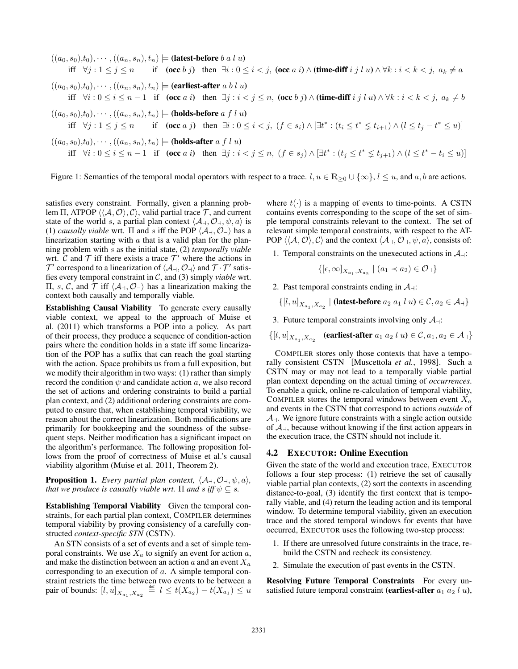$((a_0, s_0), t_0), \cdots, ((a_n, s_n), t_n) \models$  (latest-before b a l u) iff  $\forall j : 1 \leq j \leq n$  if  $(\text{occ } b \ j)$  then  $\exists i : 0 \leq i < j$ ,  $(\text{occ } a \ i) \wedge (\text{time-diff } i \ j \ l \ u) \wedge \forall k : i < k < j$ ,  $a_k \neq a$  $((a_0, s_0), t_0), \cdots, ((a_n, s_n), t_n) \models$  (earliest-after a b l u) iff  $\forall i : 0 \le i \le n-1$  if  $(\mathbf{occ}\ a\ i)$  then  $\exists j : i < j \le n$ ,  $(\mathbf{occ}\ b\ j) \land (\mathbf{time\text{-}diff}\ i\ j\ l\ u) \land \forall k : i < k < j$ ,  $a_k \ne b$  $((a_0, s_0), t_0), \cdots, ((a_n, s_n), t_n) \models$  (holds-before a f l u) iff  $\forall j: 1 \leq j \leq n$  if  $(\textbf{occ } a \ j)$  then  $\exists i: 0 \leq i < j$ ,  $(f \in s_i) \wedge [\exists t^* : (t_i \leq t^* \leq t_{i+1}) \wedge (l \leq t_j - t^* \leq u)]$  $((a_0, s_0), t_0), \cdots, ((a_n, s_n), t_n) \models$  (holds-after a f l u) iff  $\forall i: 0 \le i \le n-1$  if  $(\textbf{occ } a i)$  then  $\exists j: i < j \le n$ ,  $(f \in s_j) \wedge [\exists t^* : (t_j \le t^* \le t_{j+1}) \wedge (l \le t^* - t_i \le u)]$ 

Figure 1: Semantics of the temporal modal operators with respect to a trace.  $l, u \in \mathbb{R}_{\geq 0} \cup \{\infty\}, l \leq u$ , and  $a, b$  are actions.

satisfies every constraint. Formally, given a planning problem Π, ATPOP  $\langle \langle A, O \rangle, C \rangle$ , valid partial trace T, and current state of the world s, a partial plan context  $\langle A_+, \mathcal{O}_+, \psi, a \rangle$  is (1) *causally viable* wrt.  $\Pi$  and s iff the POP  $\langle A_+, O_+ \rangle$  has a linearization starting with  $\alpha$  that is a valid plan for the planning problem with s as the initial state, (2) *temporally viable* wrt.  $\hat{C}$  and  $\hat{T}$  iff there exists a trace  $\hat{T}'$  where the actions in  $\mathcal{T}'$  correspond to a linearization of  $\langle A_{\dashv}, \mathcal{O}_{\dashv} \rangle$  and  $\mathcal{T} \cdot \mathcal{T}'$  satisfies every temporal constraint in C, and (3) simply *viable* wrt. Π, s, C, and T iff  $\langle A_+, O_+ \rangle$  has a linearization making the context both causally and temporally viable.

Establishing Causal Viability To generate every causally viable context, we appeal to the approach of Muise et al. (2011) which transforms a POP into a policy. As part of their process, they produce a sequence of condition-action pairs where the condition holds in a state iff some linearization of the POP has a suffix that can reach the goal starting with the action. Space prohibits us from a full exposition, but we modify their algorithm in two ways: (1) rather than simply record the condition  $\psi$  and candidate action a, we also record the set of actions and ordering constraints to build a partial plan context, and (2) additional ordering constraints are computed to ensure that, when establishing temporal viability, we reason about the correct linearization. Both modifications are primarily for bookkeeping and the soundness of the subsequent steps. Neither modification has a significant impact on the algorithm's performance. The following proposition follows from the proof of correctness of Muise et al.'s causal viability algorithm (Muise et al. 2011, Theorem 2).

**Proposition 1.** *Every partial plan context,*  $\langle A_+, \mathcal{O}_+, \psi, a \rangle$ *, that we produce is causally viable wrt.*  $\Pi$  *and*  $s$  *iff*  $\psi \subseteq s$ *.* 

Establishing Temporal Viability Given the temporal constraints, for each partial plan context, COMPILER determines temporal viability by proving consistency of a carefully constructed *context-specific STN* (CSTN).

An STN consists of a set of events and a set of simple temporal constraints. We use  $X_a$  to signify an event for action  $a$ , and make the distinction between an action  $a$  and an event  $X_a$ corresponding to an execution of a. A simple temporal constraint restricts the time between two events to be between a pair of bounds:  $[l, u]_{X_{a_1}, X_{a_2}} \stackrel{\text{def}}{=} l \le t(X_{a_2}) - t(X_{a_1}) \le u$ 

where  $t(\cdot)$  is a mapping of events to time-points. A CSTN contains events corresponding to the scope of the set of simple temporal constraints relevant to the context. The set of relevant simple temporal constraints, with respect to the AT-POP  $\langle \langle A, O \rangle, C \rangle$  and the context  $\langle A_+, O_+, \psi, a \rangle$ , consists of:

1. Temporal constraints on the unexecuted actions in  $\mathcal{A}_{\dashv}$ :

 $\{[\epsilon, \infty]_{X_{a_1}, X_{a_2}} | (a_1 \prec a_2) \in \mathcal{O}_+\}$ 

2. Past temporal constraints ending in  $\mathcal{A}_{\dashv}$ :

$$
\{[l, u]_{X_{a_1}, X_{a_2}} \mid \textbf{(latest-before } a_2 \ a_1 \ l \ u) \in \mathcal{C}, a_2 \in \mathcal{A}_+\}
$$

- 3. Future temporal constraints involving only  $A_{\parallel}$ :
- $\{[l,u]_{X_{a_1},X_{a_2}} \mid \textbf{(earliest-after } a_1 \ a_2 \ l \ u) \in \mathcal{C}, a_1, a_2 \in \mathcal{A}_+\}$

COMPILER stores only those contexts that have a temporally consistent CSTN [Muscettola *et al.*, 1998]. Such a CSTN may or may not lead to a temporally viable partial plan context depending on the actual timing of *occurrences*. To enable a quick, online re-calculation of temporal viability, COMPILER stores the temporal windows between event  $X_a$ and events in the CSTN that correspond to actions *outside* of  $A_{\dashv}$ . We ignore future constraints with a single action outside of  $A_{\perp}$ , because without knowing if the first action appears in the execution trace, the CSTN should not include it.

#### 4.2 EXECUTOR: Online Execution

Given the state of the world and execution trace, EXECUTOR follows a four step process: (1) retrieve the set of causally viable partial plan contexts, (2) sort the contexts in ascending distance-to-goal, (3) identify the first context that is temporally viable, and (4) return the leading action and its temporal window. To determine temporal viability, given an execution trace and the stored temporal windows for events that have occurred, EXECUTOR uses the following two-step process:

- 1. If there are unresolved future constraints in the trace, rebuild the CSTN and recheck its consistency.
- 2. Simulate the execution of past events in the CSTN.

Resolving Future Temporal Constraints For every unsatisfied future temporal constraint (earliest-after  $a_1 a_2 l u$ ),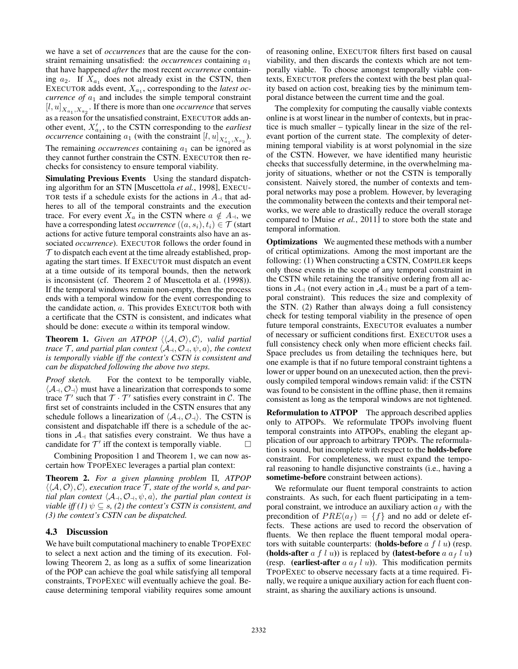we have a set of *occurrences* that are the cause for the constraint remaining unsatisfied: the  $occurrences$  containing  $a_1$ that have happened *after* the most recent *occurrence* containing  $a_2$ . If  $X_{a_1}$  does not already exist in the CSTN, then EXECUTOR adds event,  $X_{a_1}$ , corresponding to the *latest occurrence of*  $a_1$  and includes the simple temporal constraint  $[l, u]_{X_{a_1}, X_{a_2}}$ . If there is more than one *occurrence* that serves as a reason for the unsatisfied constraint, EXECUTOR adds another event,  $X'_{a_1}$ , to the CSTN corresponding to the *earliest occurrence* containing  $a_1$  (with the constraint  $[l, u]_{X'_{a_1}, X_{a_2}}$ ). The remaining  $occurrences$  containing  $a_1$  can be ignored as they cannot further constrain the CSTN. EXECUTOR then rechecks for consistency to ensure temporal viability.

Simulating Previous Events Using the standard dispatching algorithm for an STN [Muscettola *et al.*, 1998], EXECU-TOR tests if a schedule exists for the actions in  $A_{\perp}$  that adheres to all of the temporal constraints and the execution trace. For every event  $X_a$  in the CSTN where  $a \notin A_{\dashv}$ , we have a corresponding latest *occurrence*  $((a, s_i), t_i) \in \mathcal{T}$  (start actions for active future temporal constraints also have an associated *occurrence*). EXECUTOR follows the order found in  $\mathcal T$  to dispatch each event at the time already established, propagating the start times. If EXECUTOR must dispatch an event at a time outside of its temporal bounds, then the network is inconsistent (cf. Theorem 2 of Muscettola et al. (1998)). If the temporal windows remain non-empty, then the process ends with a temporal window for the event corresponding to the candidate action,  $a$ . This provides EXECUTOR both with a certificate that the CSTN is consistent, and indicates what should be done: execute a within its temporal window.

**Theorem 1.** *Given an ATPOP*  $\langle \langle A, \mathcal{O} \rangle, \mathcal{C} \rangle$ *, valid partial trace*  $\mathcal{T}$ *, and partial plan context*  $\langle \mathcal{A}_+, \mathcal{O}_+, \psi, a \rangle$ *, the context is temporally viable iff the context's CSTN is consistent and can be dispatched following the above two steps.*

*Proof sketch.* For the context to be temporally viable,  $\langle A_{\dashv}, O_{\dashv} \rangle$  must have a linearization that corresponds to some trace  $\mathcal{T}'$  such that  $\mathcal{T} \cdot \mathcal{T}'$  satisfies every constraint in C. The first set of constraints included in the CSTN ensures that any schedule follows a linearization of  $\langle A_+, O_+ \rangle$ . The CSTN is consistent and dispatchable iff there is a schedule of the actions in  $\mathcal{A}_{\perp}$  that satisfies every constraint. We thus have a candidate for  $\mathcal{T}'$  iff the context is temporally viable candidate for  $\mathcal{T}'$  iff the context is temporally viable.  $\Box$ 

Combining Proposition 1 and Theorem 1, we can now ascertain how TPOPEXEC leverages a partial plan context:

Theorem 2. *For a given planning problem* Π*, ATPOP*  $\langle \langle A, \mathcal{O} \rangle, \mathcal{C} \rangle$ , execution trace  $\mathcal{T}$ , state of the world s, and par*tial plan context*  $\langle A_+, O_+, \psi, a \rangle$ *, the partial plan context is viable iff (1)*  $\psi \subseteq s$ , (2) the context's CSTN is consistent, and *(3) the context's CSTN can be dispatched.*

#### 4.3 Discussion

We have built computational machinery to enable TPOPEXEC to select a next action and the timing of its execution. Following Theorem 2, as long as a suffix of some linearization of the POP can achieve the goal while satisfying all temporal constraints, TPOPEXEC will eventually achieve the goal. Because determining temporal viability requires some amount of reasoning online, EXECUTOR filters first based on causal viability, and then discards the contexts which are not temporally viable. To choose amongst temporally viable contexts, EXECUTOR prefers the context with the best plan quality based on action cost, breaking ties by the minimum temporal distance between the current time and the goal.

The complexity for computing the causally viable contexts online is at worst linear in the number of contexts, but in practice is much smaller – typically linear in the size of the relevant portion of the current state. The complexity of determining temporal viability is at worst polynomial in the size of the CSTN. However, we have identified many heuristic checks that successfully determine, in the overwhelming majority of situations, whether or not the CSTN is temporally consistent. Naively stored, the number of contexts and temporal networks may pose a problem. However, by leveraging the commonality between the contexts and their temporal networks, we were able to drastically reduce the overall storage compared to [Muise *et al.*, 2011] to store both the state and temporal information.

Optimizations We augmented these methods with a number of critical optimizations. Among the most important are the following: (1) When constructing a CSTN, COMPILER keeps only those events in the scope of any temporal constraint in the CSTN while retaining the transitive ordering from all actions in  $\mathcal{A}_{\dashv}$  (not every action in  $\mathcal{A}_{\dashv}$  must be a part of a temporal constraint). This reduces the size and complexity of the STN. (2) Rather than always doing a full consistency check for testing temporal viability in the presence of open future temporal constraints, EXECUTOR evaluates a number of necessary or sufficient conditions first. EXECUTOR uses a full consistency check only when more efficient checks fail. Space precludes us from detailing the techniques here, but one example is that if no future temporal constraint tightens a lower or upper bound on an unexecuted action, then the previously compiled temporal windows remain valid: if the CSTN was found to be consistent in the offline phase, then it remains consistent as long as the temporal windows are not tightened.

Reformulation to ATPOP The approach described applies only to ATPOPs. We reformulate TPOPs involving fluent temporal constraints into ATPOPs, enabling the elegant application of our approach to arbitrary TPOPs. The reformulation is sound, but incomplete with respect to the holds-before constraint. For completeness, we must expand the temporal reasoning to handle disjunctive constraints (i.e., having a sometime-before constraint between actions).

We reformulate our fluent temporal constraints to action constraints. As such, for each fluent participating in a temporal constraint, we introduce an auxiliary action  $a_f$  with the precondition of  $PRE(a_f) = \{f\}$  and no add or delete effects. These actions are used to record the observation of fluents. We then replace the fluent temporal modal operators with suitable counterparts: (holds-before  $a f l u$ ) (resp. (holds-after  $a f l u$ ) is replaced by (latest-before  $a a_f l u$ ) (resp. (earliest-after  $a \, a \, f \, l \, u$ )). This modification permits TPOPEXEC to observe necessary facts at a time required. Finally, we require a unique auxiliary action for each fluent constraint, as sharing the auxiliary actions is unsound.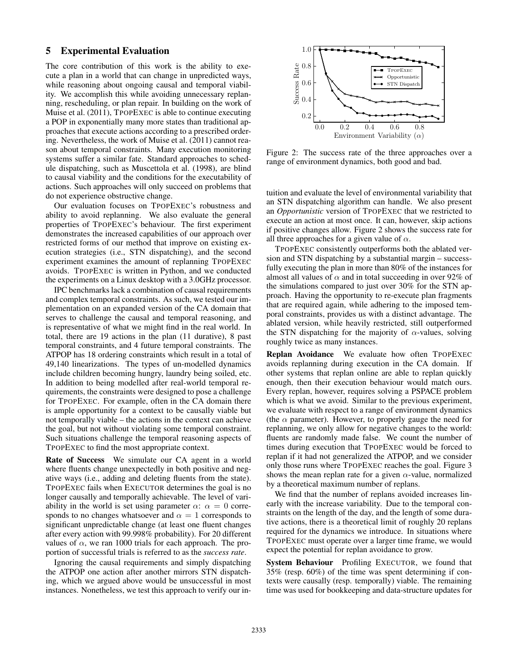# 5 Experimental Evaluation

The core contribution of this work is the ability to execute a plan in a world that can change in unpredicted ways, while reasoning about ongoing causal and temporal viability. We accomplish this while avoiding unnecessary replanning, rescheduling, or plan repair. In building on the work of Muise et al. (2011), TPOPEXEC is able to continue executing a POP in exponentially many more states than traditional approaches that execute actions according to a prescribed ordering. Nevertheless, the work of Muise et al. (2011) cannot reason about temporal constraints. Many execution monitoring systems suffer a similar fate. Standard approaches to schedule dispatching, such as Muscettola et al. (1998), are blind to causal viability and the conditions for the executability of actions. Such approaches will only succeed on problems that do not experience obstructive change.

Our evaluation focuses on TPOPEXEC's robustness and ability to avoid replanning. We also evaluate the general properties of TPOPEXEC's behaviour. The first experiment demonstrates the increased capabilities of our approach over restricted forms of our method that improve on existing execution strategies (i.e., STN dispatching), and the second experiment examines the amount of replanning TPOPEXEC avoids. TPOPEXEC is written in Python, and we conducted the experiments on a Linux desktop with a 3.0GHz processor.

IPC benchmarks lack a combination of causal requirements and complex temporal constraints. As such, we tested our implementation on an expanded version of the CA domain that serves to challenge the causal and temporal reasoning, and is representative of what we might find in the real world. In total, there are 19 actions in the plan (11 durative), 8 past temporal constraints, and 4 future temporal constraints. The ATPOP has 18 ordering constraints which result in a total of 49,140 linearizations. The types of un-modelled dynamics include children becoming hungry, laundry being soiled, etc. In addition to being modelled after real-world temporal requirements, the constraints were designed to pose a challenge for TPOPEXEC. For example, often in the CA domain there is ample opportunity for a context to be causally viable but not temporally viable – the actions in the context can achieve the goal, but not without violating some temporal constraint. Such situations challenge the temporal reasoning aspects of TPOPEXEC to find the most appropriate context.

Rate of Success We simulate our CA agent in a world where fluents change unexpectedly in both positive and negative ways (i.e., adding and deleting fluents from the state). TPOPEXEC fails when EXECUTOR determines the goal is no longer causally and temporally achievable. The level of variability in the world is set using parameter  $\alpha$ :  $\alpha = 0$  corresponds to no changes whatsoever and  $\alpha = 1$  corresponds to significant unpredictable change (at least one fluent changes after every action with 99.998% probability). For 20 different values of  $\alpha$ , we ran 1000 trials for each approach. The proportion of successful trials is referred to as the *success rate*.

Ignoring the causal requirements and simply dispatching the ATPOP one action after another mirrors STN dispatching, which we argued above would be unsuccessful in most instances. Nonetheless, we test this approach to verify our in-



Figure 2: The success rate of the three approaches over a range of environment dynamics, both good and bad.

tuition and evaluate the level of environmental variability that an STN dispatching algorithm can handle. We also present an *Opportunistic* version of TPOPEXEC that we restricted to execute an action at most once. It can, however, skip actions if positive changes allow. Figure 2 shows the success rate for all three approaches for a given value of  $\alpha$ .

TPOPEXEC consistently outperforms both the ablated version and STN dispatching by a substantial margin – successfully executing the plan in more than 80% of the instances for almost all values of  $\alpha$  and in total succeeding in over 92% of the simulations compared to just over 30% for the STN approach. Having the opportunity to re-execute plan fragments that are required again, while adhering to the imposed temporal constraints, provides us with a distinct advantage. The ablated version, while heavily restricted, still outperformed the STN dispatching for the majority of  $\alpha$ -values, solving roughly twice as many instances.

Replan Avoidance We evaluate how often TPOPEXEC avoids replanning during execution in the CA domain. If other systems that replan online are able to replan quickly enough, then their execution behaviour would match ours. Every replan, however, requires solving a PSPACE problem which is what we avoid. Similar to the previous experiment, we evaluate with respect to a range of environment dynamics (the  $\alpha$  parameter). However, to properly gauge the need for replanning, we only allow for negative changes to the world: fluents are randomly made false. We count the number of times during execution that TPOPEXEC would be forced to replan if it had not generalized the ATPOP, and we consider only those runs where TPOPEXEC reaches the goal. Figure 3 shows the mean replan rate for a given  $\alpha$ -value, normalized by a theoretical maximum number of replans.

We find that the number of replans avoided increases linearly with the increase variability. Due to the temporal constraints on the length of the day, and the length of some durative actions, there is a theoretical limit of roughly 20 replans required for the dynamics we introduce. In situations where TPOPEXEC must operate over a larger time frame, we would expect the potential for replan avoidance to grow.

System Behaviour Profiling EXECUTOR, we found that 35% (resp. 60%) of the time was spent determining if contexts were causally (resp. temporally) viable. The remaining time was used for bookkeeping and data-structure updates for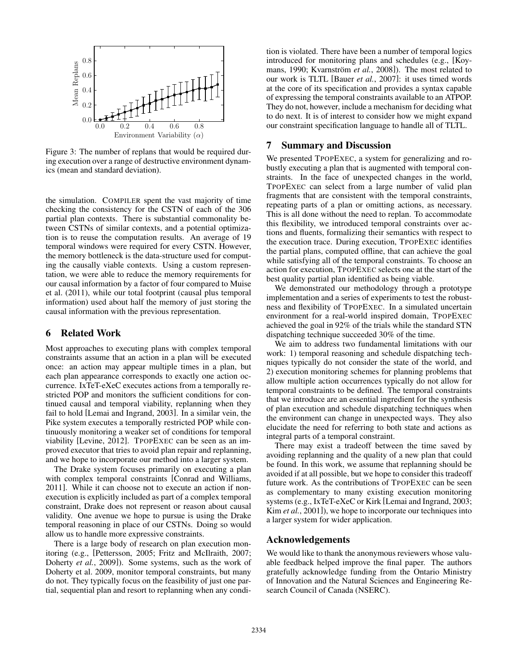

Figure 3: The number of replans that would be required during execution over a range of destructive environment dynamics (mean and standard deviation).

the simulation. COMPILER spent the vast majority of time checking the consistency for the CSTN of each of the 306 partial plan contexts. There is substantial commonality between CSTNs of similar contexts, and a potential optimization is to reuse the computation results. An average of 19 temporal windows were required for every CSTN. However, the memory bottleneck is the data-structure used for computing the causally viable contexts. Using a custom representation, we were able to reduce the memory requirements for our causal information by a factor of four compared to Muise et al. (2011), while our total footprint (causal plus temporal information) used about half the memory of just storing the causal information with the previous representation.

## 6 Related Work

Most approaches to executing plans with complex temporal constraints assume that an action in a plan will be executed once: an action may appear multiple times in a plan, but each plan appearance corresponds to exactly one action occurrence. IxTeT-eXeC executes actions from a temporally restricted POP and monitors the sufficient conditions for continued causal and temporal viability, replanning when they fail to hold [Lemai and Ingrand, 2003]. In a similar vein, the Pike system executes a temporally restricted POP while continuously monitoring a weaker set of conditions for temporal viability [Levine, 2012]. TPOPEXEC can be seen as an improved executor that tries to avoid plan repair and replanning, and we hope to incorporate our method into a larger system.

The Drake system focuses primarily on executing a plan with complex temporal constraints [Conrad and Williams, 2011]. While it can choose not to execute an action if nonexecution is explicitly included as part of a complex temporal constraint, Drake does not represent or reason about causal validity. One avenue we hope to pursue is using the Drake temporal reasoning in place of our CSTNs. Doing so would allow us to handle more expressive constraints.

There is a large body of research on plan execution monitoring (e.g., [Pettersson, 2005; Fritz and McIlraith, 2007; Doherty *et al.*, 2009]). Some systems, such as the work of Doherty et al. 2009, monitor temporal constraints, but many do not. They typically focus on the feasibility of just one partial, sequential plan and resort to replanning when any condition is violated. There have been a number of temporal logics introduced for monitoring plans and schedules (e.g., [Koymans, 1990; Kvarnström et al., 2008]). The most related to our work is TLTL [Bauer *et al.*, 2007]: it uses timed words at the core of its specification and provides a syntax capable of expressing the temporal constraints available to an ATPOP. They do not, however, include a mechanism for deciding what to do next. It is of interest to consider how we might expand our constraint specification language to handle all of TLTL.

## 7 Summary and Discussion

We presented TPOPEXEC, a system for generalizing and robustly executing a plan that is augmented with temporal constraints. In the face of unexpected changes in the world, TPOPEXEC can select from a large number of valid plan fragments that are consistent with the temporal constraints, repeating parts of a plan or omitting actions, as necessary. This is all done without the need to replan. To accommodate this flexibility, we introduced temporal constraints over actions and fluents, formalizing their semantics with respect to the execution trace. During execution, TPOPEXEC identifies the partial plans, computed offline, that can achieve the goal while satisfying all of the temporal constraints. To choose an action for execution, TPOPEXEC selects one at the start of the best quality partial plan identified as being viable.

We demonstrated our methodology through a prototype implementation and a series of experiments to test the robustness and flexibility of TPOPEXEC. In a simulated uncertain environment for a real-world inspired domain, TPOPEXEC achieved the goal in 92% of the trials while the standard STN dispatching technique succeeded 30% of the time.

We aim to address two fundamental limitations with our work: 1) temporal reasoning and schedule dispatching techniques typically do not consider the state of the world, and 2) execution monitoring schemes for planning problems that allow multiple action occurrences typically do not allow for temporal constraints to be defined. The temporal constraints that we introduce are an essential ingredient for the synthesis of plan execution and schedule dispatching techniques when the environment can change in unexpected ways. They also elucidate the need for referring to both state and actions as integral parts of a temporal constraint.

There may exist a tradeoff between the time saved by avoiding replanning and the quality of a new plan that could be found. In this work, we assume that replanning should be avoided if at all possible, but we hope to consider this tradeoff future work. As the contributions of TPOPEXEC can be seen as complementary to many existing execution monitoring systems (e.g., IxTeT-eXeC or Kirk [Lemai and Ingrand, 2003; Kim *et al.*, 2001]), we hope to incorporate our techniques into a larger system for wider application.

#### Acknowledgements

We would like to thank the anonymous reviewers whose valuable feedback helped improve the final paper. The authors gratefully acknowledge funding from the Ontario Ministry of Innovation and the Natural Sciences and Engineering Research Council of Canada (NSERC).